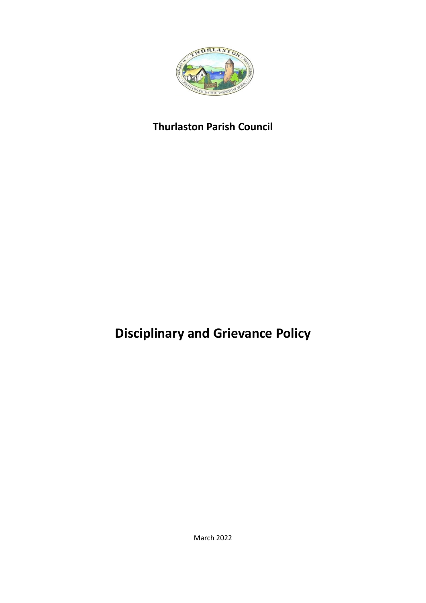

## **Thurlaston Parish Council**

# **Disciplinary and Grievance Policy**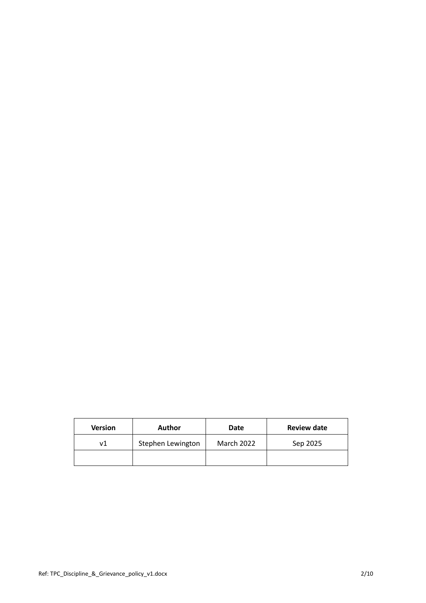| <b>Version</b> | <b>Author</b>     | Date       | <b>Review date</b> |
|----------------|-------------------|------------|--------------------|
| ۷1             | Stephen Lewington | March 2022 | Sep 2025           |
|                |                   |            |                    |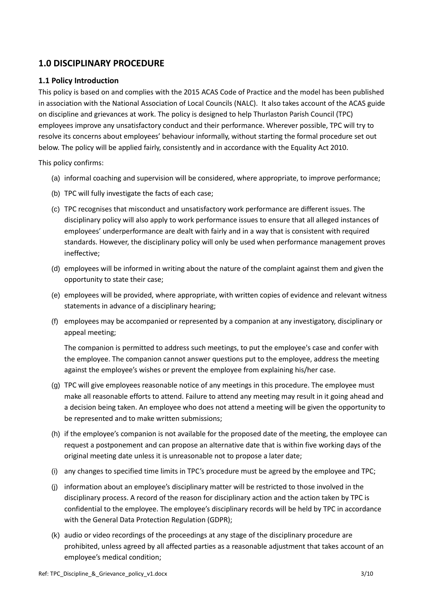## **1.0 DISCIPLINARY PROCEDURE**

## **1.1 Policy Introduction**

This policy is based on and complies with the 2015 ACAS Code of Practice and the model has been published in association with the National Association of Local Councils (NALC). It also takes account of the ACAS guide on discipline and grievances at work. The policy is designed to help Thurlaston Parish Council (TPC) employees improve any unsatisfactory conduct and their performance. Wherever possible, TPC will try to resolve its concerns about employees' behaviour informally, without starting the formal procedure set out below. The policy will be applied fairly, consistently and in accordance with the Equality Act 2010.

This policy confirms:

- (a) informal coaching and supervision will be considered, where appropriate, to improve performance;
- (b) TPC will fully investigate the facts of each case;
- (c) TPC recognises that misconduct and unsatisfactory work performance are different issues. The disciplinary policy will also apply to work performance issues to ensure that all alleged instances of employees' underperformance are dealt with fairly and in a way that is consistent with required standards. However, the disciplinary policy will only be used when performance management proves ineffective;
- (d) employees will be informed in writing about the nature of the complaint against them and given the opportunity to state their case;
- (e) employees will be provided, where appropriate, with written copies of evidence and relevant witness statements in advance of a disciplinary hearing;
- (f) employees may be accompanied or represented by a companion at any investigatory, disciplinary or appeal meeting;

The companion is permitted to address such meetings, to put the employee's case and confer with the employee. The companion cannot answer questions put to the employee, address the meeting against the employee's wishes or prevent the employee from explaining his/her case.

- (g) TPC will give employees reasonable notice of any meetings in this procedure. The employee must make all reasonable efforts to attend. Failure to attend any meeting may result in it going ahead and a decision being taken. An employee who does not attend a meeting will be given the opportunity to be represented and to make written submissions;
- (h) if the employee's companion is not available for the proposed date of the meeting, the employee can request a postponement and can propose an alternative date that is within five working days of the original meeting date unless it is unreasonable not to propose a later date;
- (i) any changes to specified time limits in TPC's procedure must be agreed by the employee and TPC;
- (j) information about an employee's disciplinary matter will be restricted to those involved in the disciplinary process. A record of the reason for disciplinary action and the action taken by TPC is confidential to the employee. The employee's disciplinary records will be held by TPC in accordance with the General Data Protection Regulation (GDPR);
- (k) audio or video recordings of the proceedings at any stage of the disciplinary procedure are prohibited, unless agreed by all affected parties as a reasonable adjustment that takes account of an employee's medical condition;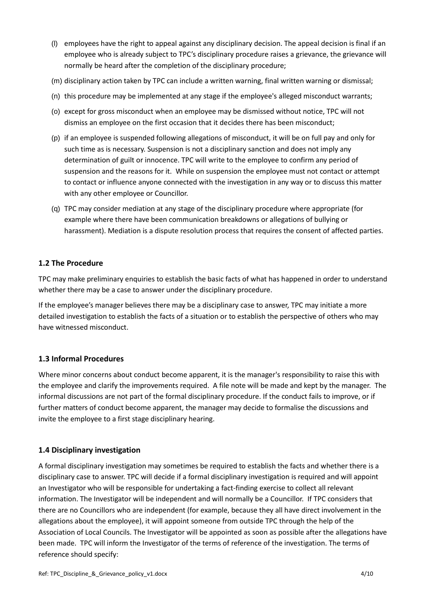- (l) employees have the right to appeal against any disciplinary decision. The appeal decision is final if an employee who is already subject to TPC's disciplinary procedure raises a grievance, the grievance will normally be heard after the completion of the disciplinary procedure;
- (m) disciplinary action taken by TPC can include a written warning, final written warning or dismissal;
- (n) this procedure may be implemented at any stage if the employee's alleged misconduct warrants;
- (o) except for gross misconduct when an employee may be dismissed without notice, TPC will not dismiss an employee on the first occasion that it decides there has been misconduct;
- (p) if an employee is suspended following allegations of misconduct, it will be on full pay and only for such time as is necessary. Suspension is not a disciplinary sanction and does not imply any determination of guilt or innocence. TPC will write to the employee to confirm any period of suspension and the reasons for it. While on suspension the employee must not contact or attempt to contact or influence anyone connected with the investigation in any way or to discuss this matter with any other employee or Councillor.
- (q) TPC may consider mediation at any stage of the disciplinary procedure where appropriate (for example where there have been communication breakdowns or allegations of bullying or harassment). Mediation is a dispute resolution process that requires the consent of affected parties.

#### **1.2 The Procedure**

TPC may make preliminary enquiries to establish the basic facts of what has happened in order to understand whether there may be a case to answer under the disciplinary procedure.

If the employee's manager believes there may be a disciplinary case to answer, TPC may initiate a more detailed investigation to establish the facts of a situation or to establish the perspective of others who may have witnessed misconduct.

## **1.3 Informal Procedures**

Where minor concerns about conduct become apparent, it is the manager's responsibility to raise this with the employee and clarify the improvements required. A file note will be made and kept by the manager. The informal discussions are not part of the formal disciplinary procedure. If the conduct fails to improve, or if further matters of conduct become apparent, the manager may decide to formalise the discussions and invite the employee to a first stage disciplinary hearing.

#### **1.4 Disciplinary investigation**

A formal disciplinary investigation may sometimes be required to establish the facts and whether there is a disciplinary case to answer. TPC will decide if a formal disciplinary investigation is required and will appoint an Investigator who will be responsible for undertaking a fact-finding exercise to collect all relevant information. The Investigator will be independent and will normally be a Councillor. If TPC considers that there are no Councillors who are independent (for example, because they all have direct involvement in the allegations about the employee), it will appoint someone from outside TPC through the help of the Association of Local Councils. The Investigator will be appointed as soon as possible after the allegations have been made. TPC will inform the Investigator of the terms of reference of the investigation. The terms of reference should specify: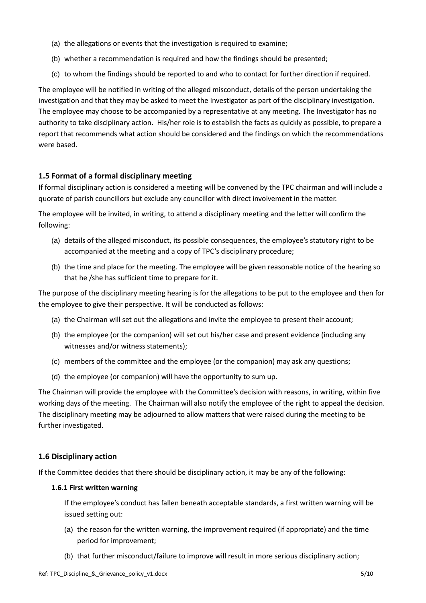- (a) the allegations or events that the investigation is required to examine;
- (b) whether a recommendation is required and how the findings should be presented;
- (c) to whom the findings should be reported to and who to contact for further direction if required.

The employee will be notified in writing of the alleged misconduct, details of the person undertaking the investigation and that they may be asked to meet the Investigator as part of the disciplinary investigation. The employee may choose to be accompanied by a representative at any meeting. The Investigator has no authority to take disciplinary action. His/her role is to establish the facts as quickly as possible, to prepare a report that recommends what action should be considered and the findings on which the recommendations were based.

## **1.5 Format of a formal disciplinary meeting**

If formal disciplinary action is considered a meeting will be convened by the TPC chairman and will include a quorate of parish councillors but exclude any councillor with direct involvement in the matter.

The employee will be invited, in writing, to attend a disciplinary meeting and the letter will confirm the following:

- (a) details of the alleged misconduct, its possible consequences, the employee's statutory right to be accompanied at the meeting and a copy of TPC's disciplinary procedure;
- (b) the time and place for the meeting. The employee will be given reasonable notice of the hearing so that he /she has sufficient time to prepare for it.

The purpose of the disciplinary meeting hearing is for the allegations to be put to the employee and then for the employee to give their perspective. It will be conducted as follows:

- (a) the Chairman will set out the allegations and invite the employee to present their account;
- (b) the employee (or the companion) will set out his/her case and present evidence (including any witnesses and/or witness statements);
- (c) members of the committee and the employee (or the companion) may ask any questions;
- (d) the employee (or companion) will have the opportunity to sum up.

The Chairman will provide the employee with the Committee's decision with reasons, in writing, within five working days of the meeting. The Chairman will also notify the employee of the right to appeal the decision. The disciplinary meeting may be adjourned to allow matters that were raised during the meeting to be further investigated.

#### **1.6 Disciplinary action**

If the Committee decides that there should be disciplinary action, it may be any of the following:

#### **1.6.1 First written warning**

If the employee's conduct has fallen beneath acceptable standards, a first written warning will be issued setting out:

- (a) the reason for the written warning, the improvement required (if appropriate) and the time period for improvement;
- (b) that further misconduct/failure to improve will result in more serious disciplinary action;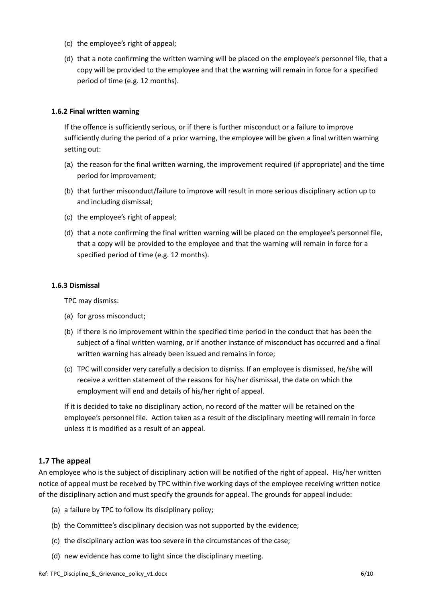- (c) the employee's right of appeal;
- (d) that a note confirming the written warning will be placed on the employee's personnel file, that a copy will be provided to the employee and that the warning will remain in force for a specified period of time (e.g. 12 months).

#### **1.6.2 Final written warning**

If the offence is sufficiently serious, or if there is further misconduct or a failure to improve sufficiently during the period of a prior warning, the employee will be given a final written warning setting out:

- (a) the reason for the final written warning, the improvement required (if appropriate) and the time period for improvement;
- (b) that further misconduct/failure to improve will result in more serious disciplinary action up to and including dismissal;
- (c) the employee's right of appeal;
- (d) that a note confirming the final written warning will be placed on the employee's personnel file, that a copy will be provided to the employee and that the warning will remain in force for a specified period of time (e.g. 12 months).

#### **1.6.3 Dismissal**

TPC may dismiss:

- (a) for gross misconduct;
- (b) if there is no improvement within the specified time period in the conduct that has been the subject of a final written warning, or if another instance of misconduct has occurred and a final written warning has already been issued and remains in force;
- (c) TPC will consider very carefully a decision to dismiss. If an employee is dismissed, he/she will receive a written statement of the reasons for his/her dismissal, the date on which the employment will end and details of his/her right of appeal.

If it is decided to take no disciplinary action, no record of the matter will be retained on the employee's personnel file. Action taken as a result of the disciplinary meeting will remain in force unless it is modified as a result of an appeal.

#### **1.7 The appeal**

An employee who is the subject of disciplinary action will be notified of the right of appeal. His/her written notice of appeal must be received by TPC within five working days of the employee receiving written notice of the disciplinary action and must specify the grounds for appeal. The grounds for appeal include:

- (a) a failure by TPC to follow its disciplinary policy;
- (b) the Committee's disciplinary decision was not supported by the evidence;
- (c) the disciplinary action was too severe in the circumstances of the case;
- (d) new evidence has come to light since the disciplinary meeting.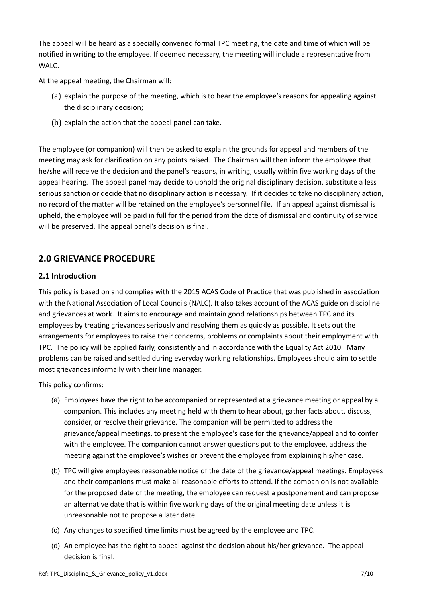The appeal will be heard as a specially convened formal TPC meeting, the date and time of which will be notified in writing to the employee. If deemed necessary, the meeting will include a representative from WALC.

At the appeal meeting, the Chairman will:

- (a) explain the purpose of the meeting, which is to hear the employee's reasons for appealing against the disciplinary decision;
- (b) explain the action that the appeal panel can take.

The employee (or companion) will then be asked to explain the grounds for appeal and members of the meeting may ask for clarification on any points raised. The Chairman will then inform the employee that he/she will receive the decision and the panel's reasons, in writing, usually within five working days of the appeal hearing. The appeal panel may decide to uphold the original disciplinary decision, substitute a less serious sanction or decide that no disciplinary action is necessary. If it decides to take no disciplinary action, no record of the matter will be retained on the employee's personnel file. If an appeal against dismissal is upheld, the employee will be paid in full for the period from the date of dismissal and continuity of service will be preserved. The appeal panel's decision is final.

## **2.0 GRIEVANCE PROCEDURE**

## **2.1 Introduction**

This policy is based on and complies with the 2015 ACAS Code of Practice that was published in association with the National Association of Local Councils (NALC). It also takes account of the ACAS guide on discipline and grievances at work. It aims to encourage and maintain good relationships between TPC and its employees by treating grievances seriously and resolving them as quickly as possible. It sets out the arrangements for employees to raise their concerns, problems or complaints about their employment with TPC. The policy will be applied fairly, consistently and in accordance with the Equality Act 2010. Many problems can be raised and settled during everyday working relationships. Employees should aim to settle most grievances informally with their line manager.

This policy confirms:

- (a) Employees have the right to be accompanied or represented at a grievance meeting or appeal by a companion. This includes any meeting held with them to hear about, gather facts about, discuss, consider, or resolve their grievance. The companion will be permitted to address the grievance/appeal meetings, to present the employee's case for the grievance/appeal and to confer with the employee. The companion cannot answer questions put to the employee, address the meeting against the employee's wishes or prevent the employee from explaining his/her case.
- (b) TPC will give employees reasonable notice of the date of the grievance/appeal meetings. Employees and their companions must make all reasonable efforts to attend. If the companion is not available for the proposed date of the meeting, the employee can request a postponement and can propose an alternative date that is within five working days of the original meeting date unless it is unreasonable not to propose a later date.
- (c) Any changes to specified time limits must be agreed by the employee and TPC.
- (d) An employee has the right to appeal against the decision about his/her grievance. The appeal decision is final.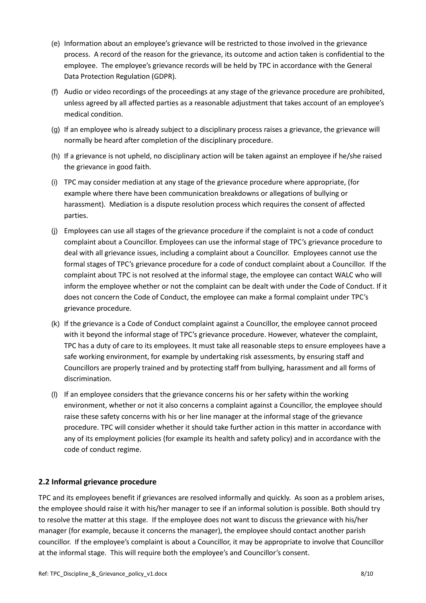- (e) Information about an employee's grievance will be restricted to those involved in the grievance process. A record of the reason for the grievance, its outcome and action taken is confidential to the employee. The employee's grievance records will be held by TPC in accordance with the General Data Protection Regulation (GDPR).
- (f) Audio or video recordings of the proceedings at any stage of the grievance procedure are prohibited, unless agreed by all affected parties as a reasonable adjustment that takes account of an employee's medical condition.
- (g) If an employee who is already subject to a disciplinary process raises a grievance, the grievance will normally be heard after completion of the disciplinary procedure.
- (h) If a grievance is not upheld, no disciplinary action will be taken against an employee if he/she raised the grievance in good faith.
- (i) TPC may consider mediation at any stage of the grievance procedure where appropriate, (for example where there have been communication breakdowns or allegations of bullying or harassment). Mediation is a dispute resolution process which requires the consent of affected parties.
- (j) Employees can use all stages of the grievance procedure if the complaint is not a code of conduct complaint about a Councillor. Employees can use the informal stage of TPC's grievance procedure to deal with all grievance issues, including a complaint about a Councillor. Employees cannot use the formal stages of TPC's grievance procedure for a code of conduct complaint about a Councillor. If the complaint about TPC is not resolved at the informal stage, the employee can contact WALC who will inform the employee whether or not the complaint can be dealt with under the Code of Conduct. If it does not concern the Code of Conduct, the employee can make a formal complaint under TPC's grievance procedure.
- (k) If the grievance is a Code of Conduct complaint against a Councillor, the employee cannot proceed with it beyond the informal stage of TPC's grievance procedure. However, whatever the complaint, TPC has a duty of care to its employees. It must take all reasonable steps to ensure employees have a safe working environment, for example by undertaking risk assessments, by ensuring staff and Councillors are properly trained and by protecting staff from bullying, harassment and all forms of discrimination.
- (l) If an employee considers that the grievance concerns his or her safety within the working environment, whether or not it also concerns a complaint against a Councillor, the employee should raise these safety concerns with his or her line manager at the informal stage of the grievance procedure. TPC will consider whether it should take further action in this matter in accordance with any of its employment policies (for example its health and safety policy) and in accordance with the code of conduct regime.

## **2.2 Informal grievance procedure**

TPC and its employees benefit if grievances are resolved informally and quickly. As soon as a problem arises, the employee should raise it with his/her manager to see if an informal solution is possible. Both should try to resolve the matter at this stage. If the employee does not want to discuss the grievance with his/her manager (for example, because it concerns the manager), the employee should contact another parish councillor. If the employee's complaint is about a Councillor, it may be appropriate to involve that Councillor at the informal stage. This will require both the employee's and Councillor's consent.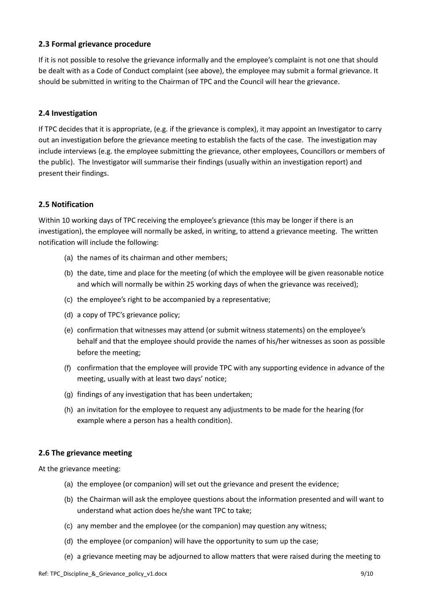#### **2.3 Formal grievance procedure**

If it is not possible to resolve the grievance informally and the employee's complaint is not one that should be dealt with as a Code of Conduct complaint (see above), the employee may submit a formal grievance. It should be submitted in writing to the Chairman of TPC and the Council will hear the grievance.

#### **2.4 Investigation**

If TPC decides that it is appropriate, (e.g. if the grievance is complex), it may appoint an Investigator to carry out an investigation before the grievance meeting to establish the facts of the case. The investigation may include interviews (e.g. the employee submitting the grievance, other employees, Councillors or members of the public). The Investigator will summarise their findings (usually within an investigation report) and present their findings.

#### **2.5 Notification**

Within 10 working days of TPC receiving the employee's grievance (this may be longer if there is an investigation), the employee will normally be asked, in writing, to attend a grievance meeting. The written notification will include the following:

- (a) the names of its chairman and other members;
- (b) the date, time and place for the meeting (of which the employee will be given reasonable notice and which will normally be within 25 working days of when the grievance was received);
- (c) the employee's right to be accompanied by a representative;
- (d) a copy of TPC's grievance policy;
- (e) confirmation that witnesses may attend (or submit witness statements) on the employee's behalf and that the employee should provide the names of his/her witnesses as soon as possible before the meeting;
- (f) confirmation that the employee will provide TPC with any supporting evidence in advance of the meeting, usually with at least two days' notice;
- (g) findings of any investigation that has been undertaken;
- (h) an invitation for the employee to request any adjustments to be made for the hearing (for example where a person has a health condition).

#### **2.6 The grievance meeting**

At the grievance meeting:

- (a) the employee (or companion) will set out the grievance and present the evidence;
- (b) the Chairman will ask the employee questions about the information presented and will want to understand what action does he/she want TPC to take;
- (c) any member and the employee (or the companion) may question any witness;
- (d) the employee (or companion) will have the opportunity to sum up the case;
- (e) a grievance meeting may be adjourned to allow matters that were raised during the meeting to